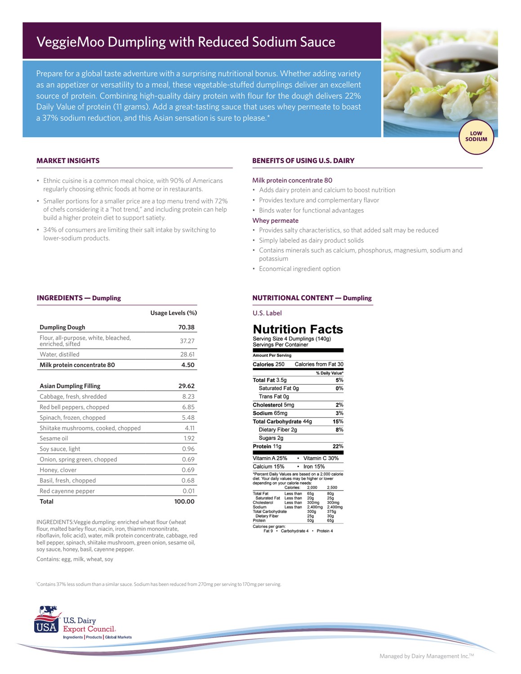# VeggieMoo Dumpling with Reduced Sodium Sauce

Prepare for a global taste adventure with a surprising nutritional bonus. Whether adding variety as an appetizer or versatility to a meal, these vegetable-stuffed dumplings deliver an excellent source of protein. Combining high-quality dairy protein with flour for the dough delivers 22% Daily Value of protein (11 grams). Add a great-tasting sauce that uses whey permeate to boast a 37% sodium reduction, and this Asian sensation is sure to please.\*



## **MARKET INSIGHTS**

**INGREDIENTS — Dumpling**

- Ethnic cuisine is a common meal choice, with 90% of Americans regularly choosing ethnic foods at home or in restaurants.
- Smaller portions for a smaller price are a top menu trend with 72% of chefs considering it a "hot trend," and including protein can help build a higher protein diet to support satiety.
- 34% of consumers are limiting their salt intake by switching to lower-sodium products.

**Dumpling Dough 70.38**

**Usage Levels (%)**

## **BENEFITS OF USING U.S. DAIRY**

#### Milk protein concentrate 80

- Adds dairy protein and calcium to boost nutrition
- Provides texture and complementary flavor
- Binds water for functional advantages

## Whey permeate

- Provides salty characteristics, so that added salt may be reduced
- Simply labeled as dairy product solids
- Contains minerals such as calcium, phosphorus, magnesium, sodium and potassium
- Economical ingredient option

### **NUTRITIONAL CONTENT — Dumpling**

Calories from Fat 30

% Daily Value\*

 $5%$ 

 $0%$ 

 $\overline{2\%}$  $3%$ 

 $15%$ 

 $8%$ 

## U.S. Label

## **Nutrition Facts** ze 4 Dumplings (140g)

| Flour, all-purpose, white, bleached,<br>enriched, sifted | 37.27  | Serving Size 4 Dumplings<br>Servings Per Container                                                                                                 |
|----------------------------------------------------------|--------|----------------------------------------------------------------------------------------------------------------------------------------------------|
| Water, distilled                                         | 28.61  | <b>Amount Per Serving</b>                                                                                                                          |
| Milk protein concentrate 80                              | 4.50   | Calories 250<br>Calorie:                                                                                                                           |
|                                                          |        | Total Fat 3.5g                                                                                                                                     |
| <b>Asian Dumpling Filling</b>                            | 29.62  | Saturated Fat 0g                                                                                                                                   |
| Cabbage, fresh, shredded                                 | 8.23   | Trans Fat 0g                                                                                                                                       |
| Red bell peppers, chopped                                | 6.85   | Cholesterol 5mg                                                                                                                                    |
| Spinach, frozen, chopped                                 | 5.48   | Sodium 65mg                                                                                                                                        |
|                                                          |        | <b>Total Carbohydrate 44g</b>                                                                                                                      |
| Shiitake mushrooms, cooked, chopped                      | 4.11   | Dietary Fiber 2g                                                                                                                                   |
| Sesame oil                                               | 1.92   | Sugars 2g                                                                                                                                          |
| Soy sauce, light                                         | 0.96   | Protein 11g                                                                                                                                        |
| Onion, spring green, chopped                             | 0.69   | Vitamin A 25%<br>• Vita                                                                                                                            |
| Honey, clover                                            | 0.69   | Calcium 15%<br>Iron<br>$\bullet$                                                                                                                   |
| Basil, fresh, chopped                                    | 0.68   | *Percent Daily Values are based o<br>diet. Your daily values may be high<br>depending on your calorie needs:                                       |
| Red cayenne pepper                                       | 0.01   | Calories:<br>2,0<br><b>Total Fat</b><br>65<br>Less than                                                                                            |
| Total                                                    | 100.00 | Saturated Fat<br>Less than<br>20 <sub>9</sub><br>300<br>Cholesterol<br>Less than<br>Sodium<br>Less than<br>2,4<br>300<br><b>Total Carbohydrate</b> |

INGREDIENTS:Veggie dumpling: enriched wheat flour (wheat flour, malted barley flour, niacin, iron, thiamin mononitrate, riboflavin, folic acid), water, milk protein concentrate, cabbage, red bell pepper, spinach, shiitake mushroom, green onion, sesame oil, soy sauce, honey, basil, cayenne pepper.

Contains: egg, milk, wheat, soy

2g  $22%$ lg 25% • Vitamin C 30% 5%  $\cdot$  Iron 15% Volues are based on a 2,000 calorie<br>y values may be higher or lower<br>your calorie needs:<br>Calories: 2,000 2,500 Less than 65g<br>20g<br>300mg<br>2,400m 80g<br>25g Less than ess than  $300$ 300mg<br>2,400m<br>375g 2,400<br>300g<br>25g<br>50g Dietary Fibe ---<br>30g<br>65g

Calories per gram:<br>Fat 9 · Carbohydrate 4 · Protein 4

† Contains 37% less sodium than a similar sauce. Sodium has been reduced from 270mg per serving to 170mg per serving.



Managed by Dairy Management Inc.TM